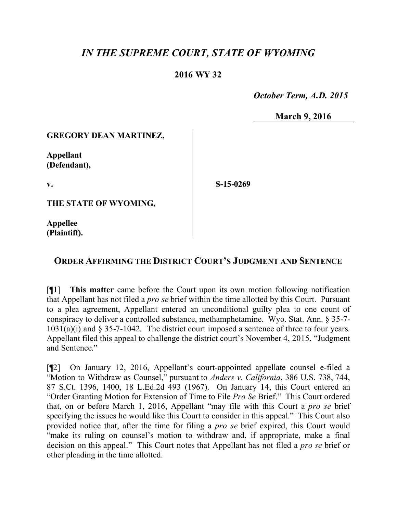# *IN THE SUPREME COURT, STATE OF WYOMING*

## **2016 WY 32**

 *October Term, A.D. 2015*

**March 9, 2016**

#### **GREGORY DEAN MARTINEZ,**

**Appellant (Defendant),**

**v.**

**S-15-0269**

**THE STATE OF WYOMING,**

**Appellee (Plaintiff).**

### **ORDER AFFIRMING THE DISTRICT COURT'S JUDGMENT AND SENTENCE**

[¶1] **This matter** came before the Court upon its own motion following notification that Appellant has not filed a *pro se* brief within the time allotted by this Court. Pursuant to a plea agreement, Appellant entered an unconditional guilty plea to one count of conspiracy to deliver a controlled substance, methamphetamine. Wyo. Stat. Ann. § 35-7-  $1031(a)(i)$  and § 35-7-1042. The district court imposed a sentence of three to four years. Appellant filed this appeal to challenge the district court's November 4, 2015, "Judgment and Sentence."

[¶2] On January 12, 2016, Appellant's court-appointed appellate counsel e-filed a "Motion to Withdraw as Counsel," pursuant to *Anders v. California*, 386 U.S. 738, 744, 87 S.Ct. 1396, 1400, 18 L.Ed.2d 493 (1967). On January 14, this Court entered an "Order Granting Motion for Extension of Time to File *Pro Se* Brief." This Court ordered that, on or before March 1, 2016, Appellant "may file with this Court a *pro se* brief specifying the issues he would like this Court to consider in this appeal." This Court also provided notice that, after the time for filing a *pro se* brief expired, this Court would "make its ruling on counsel's motion to withdraw and, if appropriate, make a final decision on this appeal." This Court notes that Appellant has not filed a *pro se* brief or other pleading in the time allotted.